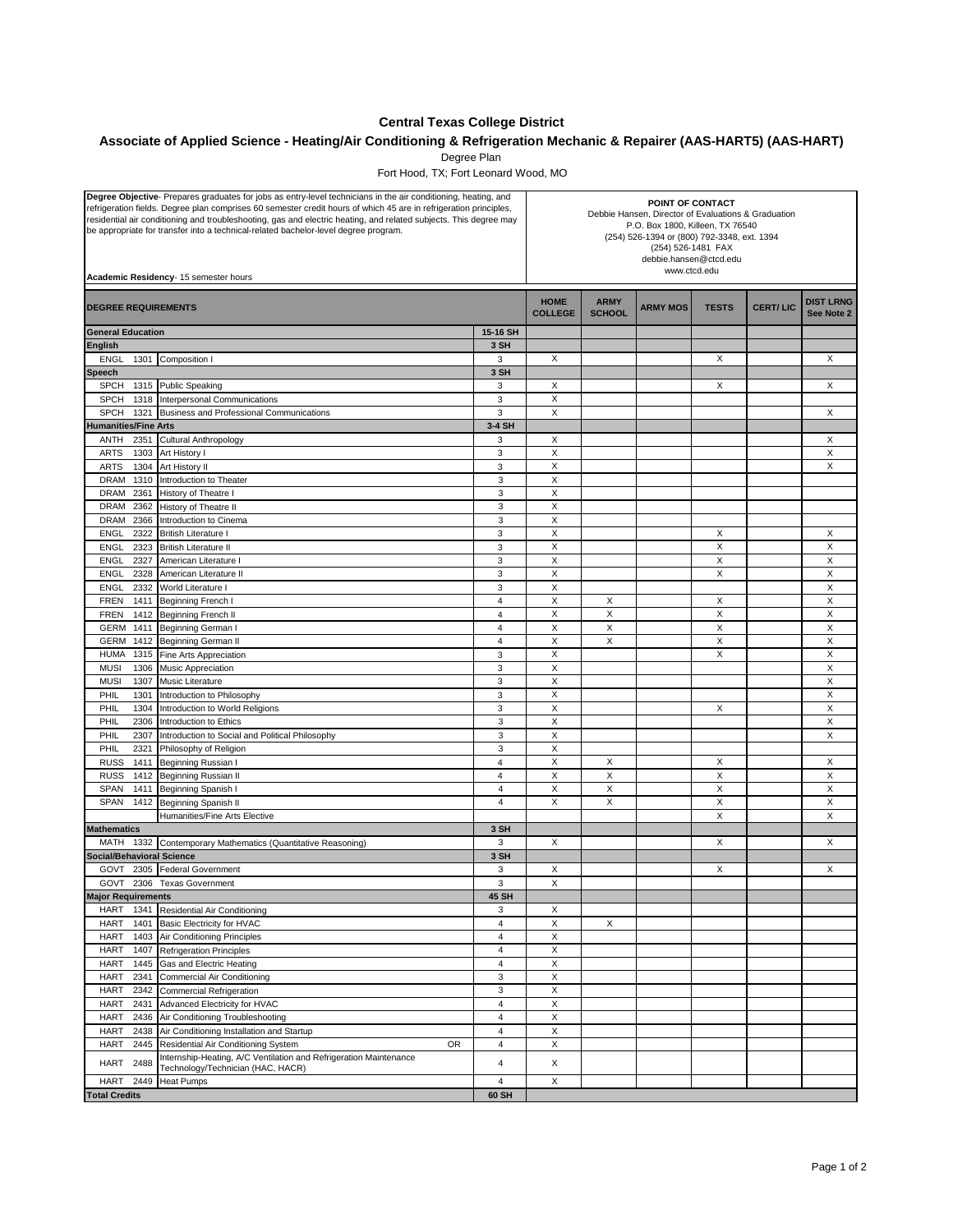## **Central Texas College District**

## **Associate of Applied Science - Heating/Air Conditioning & Refrigeration Mechanic & Repairer (AAS-HART5) (AAS-HART)**

Degree Plan

Fort Hood, TX; Fort Leonard Wood, MO

| Degree Objective- Prepares graduates for jobs as entry-level technicians in the air conditioning, heating, and<br>refrigeration fields. Degree plan comprises 60 semester credit hours of which 45 are in refrigeration principles,<br>residential air conditioning and troubleshooting, gas and electric heating, and related subjects. This degree may<br>be appropriate for transfer into a technical-related bachelor-level degree program.<br>Academic Residency- 15 semester hours |    |                              | POINT OF CONTACT<br>Debbie Hansen, Director of Evaluations & Graduation<br>P.O. Box 1800, Killeen, TX 76540<br>(254) 526-1394 or (800) 792-3348, ext. 1394<br>(254) 526-1481 FAX<br>debbie.hansen@ctcd.edu<br>www.ctcd.edu |                              |                 |                           |                 |                                |
|------------------------------------------------------------------------------------------------------------------------------------------------------------------------------------------------------------------------------------------------------------------------------------------------------------------------------------------------------------------------------------------------------------------------------------------------------------------------------------------|----|------------------------------|----------------------------------------------------------------------------------------------------------------------------------------------------------------------------------------------------------------------------|------------------------------|-----------------|---------------------------|-----------------|--------------------------------|
| <b>DEGREE REQUIREMENTS</b>                                                                                                                                                                                                                                                                                                                                                                                                                                                               |    |                              | <b>HOME</b><br><b>COLLEGE</b>                                                                                                                                                                                              | <b>ARMY</b><br><b>SCHOOL</b> | <b>ARMY MOS</b> | <b>TESTS</b>              | <b>CERT/LIC</b> | <b>DIST LRNG</b><br>See Note 2 |
| <b>General Education</b>                                                                                                                                                                                                                                                                                                                                                                                                                                                                 |    | 15-16 SH                     |                                                                                                                                                                                                                            |                              |                 |                           |                 |                                |
| <b>English</b>                                                                                                                                                                                                                                                                                                                                                                                                                                                                           |    | 3 SH                         |                                                                                                                                                                                                                            |                              |                 |                           |                 |                                |
| <b>ENGL</b><br>Composition I<br>1301                                                                                                                                                                                                                                                                                                                                                                                                                                                     |    | 3                            | X                                                                                                                                                                                                                          |                              |                 | X                         |                 | X                              |
| Speech                                                                                                                                                                                                                                                                                                                                                                                                                                                                                   |    | 3 SH                         |                                                                                                                                                                                                                            |                              |                 |                           |                 |                                |
| <b>SPCH</b><br>1315 Public Speaking                                                                                                                                                                                                                                                                                                                                                                                                                                                      |    | 3                            | Х                                                                                                                                                                                                                          |                              |                 | Χ                         |                 | X                              |
| <b>SPCH</b><br>1318<br>Interpersonal Communications                                                                                                                                                                                                                                                                                                                                                                                                                                      |    | 3                            | X                                                                                                                                                                                                                          |                              |                 |                           |                 |                                |
| <b>SPCH</b><br>1321<br>Business and Professional Communications                                                                                                                                                                                                                                                                                                                                                                                                                          |    | 3                            | X                                                                                                                                                                                                                          |                              |                 |                           |                 | X                              |
| <b>Humanities/Fine Arts</b>                                                                                                                                                                                                                                                                                                                                                                                                                                                              |    | 3-4 SH                       |                                                                                                                                                                                                                            |                              |                 |                           |                 |                                |
| ANTH<br>2351<br>Cultural Anthropology                                                                                                                                                                                                                                                                                                                                                                                                                                                    |    | 3                            | X<br>X                                                                                                                                                                                                                     |                              |                 |                           |                 | X<br>X                         |
| <b>ARTS</b><br>1303<br>Art History I<br><b>ARTS</b><br>1304                                                                                                                                                                                                                                                                                                                                                                                                                              |    | 3<br>3                       | Χ                                                                                                                                                                                                                          |                              |                 |                           |                 | X                              |
| Art History II<br><b>DRAM</b><br>1310<br>Introduction to Theater                                                                                                                                                                                                                                                                                                                                                                                                                         |    | $\mathbf{3}$                 | X                                                                                                                                                                                                                          |                              |                 |                           |                 |                                |
| <b>DRAM</b><br>2361<br>History of Theatre I                                                                                                                                                                                                                                                                                                                                                                                                                                              |    | 3                            | X                                                                                                                                                                                                                          |                              |                 |                           |                 |                                |
| DRAM<br>2362<br>History of Theatre II                                                                                                                                                                                                                                                                                                                                                                                                                                                    |    | $\mathbf{3}$                 | X                                                                                                                                                                                                                          |                              |                 |                           |                 |                                |
| 2366<br>Introduction to Cinema<br>DRAM                                                                                                                                                                                                                                                                                                                                                                                                                                                   |    | 3                            | X                                                                                                                                                                                                                          |                              |                 |                           |                 |                                |
| 2322<br><b>British Literature I</b><br><b>ENGL</b>                                                                                                                                                                                                                                                                                                                                                                                                                                       |    | $\mathsf 3$                  | X                                                                                                                                                                                                                          |                              |                 | X                         |                 | Х                              |
| <b>ENGL</b><br>2323<br><b>British Literature II</b>                                                                                                                                                                                                                                                                                                                                                                                                                                      |    | $\ensuremath{\mathsf{3}}$    | Χ                                                                                                                                                                                                                          |                              |                 | X                         |                 | X                              |
| <b>ENGL</b><br>2327<br>American Literature I                                                                                                                                                                                                                                                                                                                                                                                                                                             |    | $\mathsf 3$                  | X                                                                                                                                                                                                                          |                              |                 | X                         |                 | X                              |
| <b>ENGL</b><br>2328<br>American Literature II                                                                                                                                                                                                                                                                                                                                                                                                                                            |    | 3                            | X                                                                                                                                                                                                                          |                              |                 | X                         |                 | X                              |
| 2332<br>World Literature I<br><b>ENGL</b>                                                                                                                                                                                                                                                                                                                                                                                                                                                |    | $\ensuremath{\mathsf{3}}$    | Χ                                                                                                                                                                                                                          |                              |                 |                           |                 | X                              |
| <b>FREN</b><br>1411<br><b>Beginning French I</b>                                                                                                                                                                                                                                                                                                                                                                                                                                         |    | $\overline{4}$               | Χ                                                                                                                                                                                                                          | X                            |                 | Χ                         |                 | X                              |
| FREN<br>Beginning French II<br>1412                                                                                                                                                                                                                                                                                                                                                                                                                                                      |    | $\overline{4}$               | X                                                                                                                                                                                                                          | X                            |                 | X                         |                 | X                              |
| GERM<br>1411<br>Beginning German I                                                                                                                                                                                                                                                                                                                                                                                                                                                       |    | $\overline{4}$               | X                                                                                                                                                                                                                          | X                            |                 | X                         |                 | X                              |
| GERM<br>1412<br>Beginning German II                                                                                                                                                                                                                                                                                                                                                                                                                                                      |    | $\overline{4}$               | Χ                                                                                                                                                                                                                          | X                            |                 | X                         |                 | X                              |
| <b>HUMA</b><br>1315<br>Fine Arts Appreciation                                                                                                                                                                                                                                                                                                                                                                                                                                            |    | 3                            | X                                                                                                                                                                                                                          |                              |                 | X                         |                 | X                              |
| <b>MUSI</b><br>1306<br>Music Appreciation                                                                                                                                                                                                                                                                                                                                                                                                                                                |    | $\ensuremath{\mathsf{3}}$    | X                                                                                                                                                                                                                          |                              |                 |                           |                 | X                              |
| Music Literature<br><b>MUSI</b><br>1307                                                                                                                                                                                                                                                                                                                                                                                                                                                  |    | 3                            | X                                                                                                                                                                                                                          |                              |                 |                           |                 | X                              |
| 1301<br>PHIL<br>Introduction to Philosophy                                                                                                                                                                                                                                                                                                                                                                                                                                               |    | 3                            | X                                                                                                                                                                                                                          |                              |                 |                           |                 | X                              |
| <b>PHIL</b><br>Introduction to World Religions<br>1304                                                                                                                                                                                                                                                                                                                                                                                                                                   |    | $\ensuremath{\mathsf{3}}$    | X                                                                                                                                                                                                                          |                              |                 | X                         |                 | X                              |
| PHIL<br>2306<br>Introduction to Ethics                                                                                                                                                                                                                                                                                                                                                                                                                                                   |    | 3                            | X                                                                                                                                                                                                                          |                              |                 |                           |                 | X                              |
| PHIL<br>2307<br>Introduction to Social and Political Philosophy                                                                                                                                                                                                                                                                                                                                                                                                                          |    | 3                            | X                                                                                                                                                                                                                          |                              |                 |                           |                 | X                              |
| PHIL<br>2321<br>Philosophy of Religion                                                                                                                                                                                                                                                                                                                                                                                                                                                   |    | 3<br>$\overline{4}$          | X                                                                                                                                                                                                                          |                              |                 |                           |                 |                                |
| <b>RUSS</b><br>1411<br>Beginning Russian I<br><b>RUSS</b><br>1412<br>Beginning Russian II                                                                                                                                                                                                                                                                                                                                                                                                |    | $\overline{4}$               | Χ<br>Χ                                                                                                                                                                                                                     | X<br>X                       |                 | Χ<br>X                    |                 | Х<br>X                         |
| <b>SPAN</b><br>1411<br>Beginning Spanish I                                                                                                                                                                                                                                                                                                                                                                                                                                               |    | $\overline{4}$               | X                                                                                                                                                                                                                          | X                            |                 | X                         |                 | X                              |
| <b>SPAN</b><br>1412<br>Beginning Spanish II                                                                                                                                                                                                                                                                                                                                                                                                                                              |    | 4                            | X                                                                                                                                                                                                                          | X                            |                 | X                         |                 | X                              |
| Humanities/Fine Arts Elective                                                                                                                                                                                                                                                                                                                                                                                                                                                            |    |                              |                                                                                                                                                                                                                            |                              |                 | $\boldsymbol{\mathsf{X}}$ |                 | X                              |
| <b>Mathematics</b>                                                                                                                                                                                                                                                                                                                                                                                                                                                                       |    | 3 SH                         |                                                                                                                                                                                                                            |                              |                 |                           |                 |                                |
| MATH<br>1332 Contemporary Mathematics (Quantitative Reasoning)                                                                                                                                                                                                                                                                                                                                                                                                                           |    | 3                            | Χ                                                                                                                                                                                                                          |                              |                 | $\times$                  |                 | X                              |
| <b>Social/Behavioral Science</b>                                                                                                                                                                                                                                                                                                                                                                                                                                                         |    | 3 SH                         |                                                                                                                                                                                                                            |                              |                 |                           |                 |                                |
| 2305 Federal Government<br>GOVT                                                                                                                                                                                                                                                                                                                                                                                                                                                          |    | 3                            | Х                                                                                                                                                                                                                          |                              |                 | X                         |                 | X                              |
| GOVT<br>2306 Texas Government                                                                                                                                                                                                                                                                                                                                                                                                                                                            |    | 3                            | X                                                                                                                                                                                                                          |                              |                 |                           |                 |                                |
| <b>Major Requirements</b>                                                                                                                                                                                                                                                                                                                                                                                                                                                                |    | 45 SH                        |                                                                                                                                                                                                                            |                              |                 |                           |                 |                                |
| HART<br>1341<br>Residential Air Conditioning                                                                                                                                                                                                                                                                                                                                                                                                                                             |    | 3                            | Χ                                                                                                                                                                                                                          |                              |                 |                           |                 |                                |
| <b>HART</b><br>1401<br><b>Basic Electricity for HVAC</b>                                                                                                                                                                                                                                                                                                                                                                                                                                 |    | $\overline{\mathbf{4}}$      | X                                                                                                                                                                                                                          | X                            |                 |                           |                 |                                |
| <b>HART</b><br>1403<br>Air Conditioning Principles                                                                                                                                                                                                                                                                                                                                                                                                                                       |    | $\overline{4}$               | X                                                                                                                                                                                                                          |                              |                 |                           |                 |                                |
| <b>HART</b><br>1407<br><b>Refrigeration Principles</b>                                                                                                                                                                                                                                                                                                                                                                                                                                   |    | $\overline{4}$               | X                                                                                                                                                                                                                          |                              |                 |                           |                 |                                |
| <b>HART</b><br>1445<br>Gas and Electric Heating                                                                                                                                                                                                                                                                                                                                                                                                                                          |    | $\overline{4}$               | X                                                                                                                                                                                                                          |                              |                 |                           |                 |                                |
| <b>HART</b><br>2341<br>Commercial Air Conditioning                                                                                                                                                                                                                                                                                                                                                                                                                                       |    | 3                            | X                                                                                                                                                                                                                          |                              |                 |                           |                 |                                |
| <b>HART</b><br>2342<br><b>Commercial Refrigeration</b>                                                                                                                                                                                                                                                                                                                                                                                                                                   |    | 3                            | X                                                                                                                                                                                                                          |                              |                 |                           |                 |                                |
| <b>HART</b><br>Advanced Electricity for HVAC<br>2431                                                                                                                                                                                                                                                                                                                                                                                                                                     |    | $\overline{4}$               | Χ                                                                                                                                                                                                                          |                              |                 |                           |                 |                                |
| <b>HART</b><br>Air Conditioning Troubleshooting<br>2436<br>2438                                                                                                                                                                                                                                                                                                                                                                                                                          |    | $\overline{4}$               | X<br>X                                                                                                                                                                                                                     |                              |                 |                           |                 |                                |
| <b>HART</b><br>Air Conditioning Installation and Startup<br><b>HART</b><br>2445<br>Residential Air Conditioning System                                                                                                                                                                                                                                                                                                                                                                   | OR | 4<br>$\overline{\mathbf{4}}$ | Χ                                                                                                                                                                                                                          |                              |                 |                           |                 |                                |
| Internship-Heating, A/C Ventilation and Refrigeration Maintenance                                                                                                                                                                                                                                                                                                                                                                                                                        |    |                              |                                                                                                                                                                                                                            |                              |                 |                           |                 |                                |
| HART<br>2488<br>Technology/Technician (HAC, HACR)                                                                                                                                                                                                                                                                                                                                                                                                                                        |    | $\overline{4}$               | X                                                                                                                                                                                                                          |                              |                 |                           |                 |                                |
| <b>HART</b><br>2449<br><b>Heat Pumps</b>                                                                                                                                                                                                                                                                                                                                                                                                                                                 |    | 4                            | Χ                                                                                                                                                                                                                          |                              |                 |                           |                 |                                |
| <b>Total Credits</b><br>60 SH                                                                                                                                                                                                                                                                                                                                                                                                                                                            |    |                              |                                                                                                                                                                                                                            |                              |                 |                           |                 |                                |